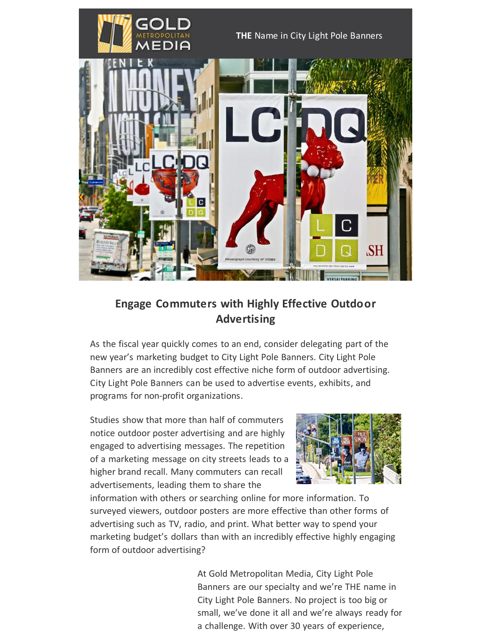

**THE** Name in City Light Pole Banners



## **Engage Commuters with Highly Effective Outdoor Advertising**

As the fiscal year quickly comes to an end, consider delegating part of the new year's marketing budget to City Light Pole Banners. City Light Pole Banners are an incredibly cost effective niche form of outdoor advertising. City Light Pole Banners can be used to advertise events, exhibits, and programs for non-profit organizations.

Studies show that more than half of commuters notice outdoor poster advertising and are highly engaged to advertising messages. The repetition of a marketing message on city streets leads to a higher brand recall. Many commuters can recall advertisements, leading them to share the



information with others or searching online for more information. To surveyed viewers, outdoor posters are more effective than other forms of advertising such as TV, radio, and print. What better way to spend your marketing budget's dollars than with an incredibly effective highly engaging form of outdoor advertising?

> At Gold Metropolitan Media, City Light Pole Banners are our specialty and we're THE name in City Light Pole Banners. No project is too big or small, we've done it all and we're always ready for a challenge. With over 30 years of experience,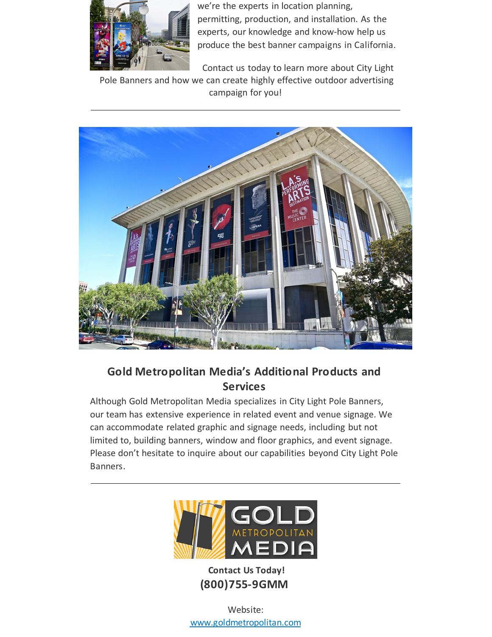

we're the experts in location planning, permitting, production, and installation. As the experts, our knowledge and know-how help us produce the best banner campaigns in California.

Contact us today to learn more about City Light

Pole Banners and how we can create highly effective outdoor advertising campaign for you!



**Gold Metropolitan Media's Additional Products and Services** 

Although Gold Metropolitan Media specializes in City Light Pole Banners, our team has extensive experience in related event and venue signage. We can accommodate related graphic and signage needs, including but not limited to, building banners, window and floor graphics, and event signage. Please don't hesitate to inquire about our capabilities beyond City Light Pole Banners.



**Contact Us Today! (800)755-9GMM**

Website: [www.goldmetropolitan.com](http://www.goldmetropolitan.com/)